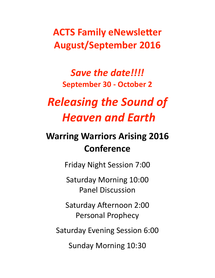# **ACTS Family eNewsletter August/September 2016**

## Save the date!!!! **September 30 - October 2**

# *Releasing the Sound of Heaven and Earth*

# **Warring Warriors Arising 2016 Conference**

Friday Night Session 7:00

Saturday Morning 10:00 Panel Discussion

Saturday Afternoon 2:00 Personal Prophecy

Saturday Evening Session 6:00

Sunday Morning 10:30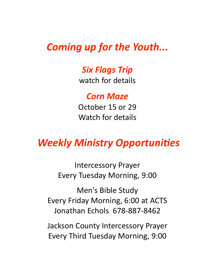### *Coming up for the Youth...*

#### *Six Flags Trip*

watch for details

*Corn Maze*

October 15 or 29 Watch for details

# **Weekly Ministry Opportunities**

Intercessory Prayer Every Tuesday Morning, 9:00

Men's Bible Study Every Friday Morning, 6:00 at ACTS Jonathan Echols 678-887-8462

Jackson County Intercessory Prayer Every Third Tuesday Morning, 9:00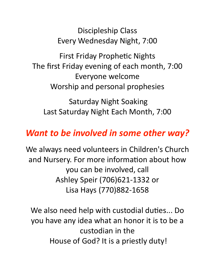Discipleship Class Every Wednesday Night, 7:00

First Friday Prophetic Nights The first Friday evening of each month, 7:00 Everyone welcome Worship and personal prophesies

Saturday Night Soaking Last Saturday Night Each Month, 7:00

### *Want to be involved in some other way?*

We always need volunteers in Children's Church and Nursery. For more information about how you can be involved, call Ashley Speir (706)621-1332 or Lisa Hays (770)882-1658

We also need help with custodial duties... Do you have any idea what an honor it is to be a custodian in the House of God? It is a priestly duty!